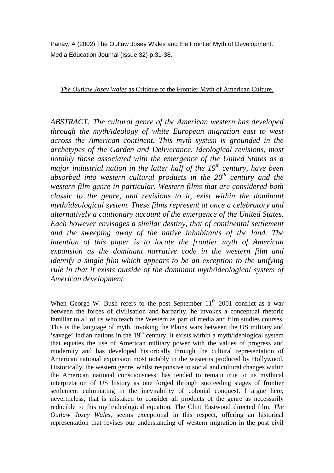Panay, A (2002) The Outlaw Josey Wales and the Frontier Myth of Development. Media Education Journal (Issue 32) p.31-38.

*The Outlaw Josey Wales* as Critique of the Frontier Myth of American Culture.

*ABSTRACT: The cultural genre of the American western has developed through the myth/ideology of white European migration east to west across the American continent. This myth system is grounded in the archetypes of the Garden and Deliverance. Ideological revisions, most notably those associated with the emergence of the United States as a major industrial nation in the latter half of the 19 th century, have been absorbed into western cultural products in the 20th century and the western film genre in particular. Western films that are considered both classic to the genre, and revisions to it, exist within the dominant myth/ideological system. These films represent at once a celebratory and alternatively a cautionary account of the emergence of the United States. Each however envisages a similar destiny, that of continental settlement and the sweeping away of the native inhabitants of the land. The intention of this paper is to locate the frontier myth of American expansion as the dominant narrative code in the western film and identify a single film which appears to be an exception to the unifying rule in that it exists outside of the dominant myth/ideological system of American development.*

When George W. Bush refers to the post September  $11<sup>th</sup>$  2001 conflict as a war between the forces of civilisation and barbarity, he invokes a conceptual rhetoric familiar to all of us who teach the Western as part of media and film studies courses. This is the language of myth, invoking the Plains wars between the US military and 'savage' Indian nations in the  $19<sup>th</sup>$  century. It exists within a myth/ideological system that equates the use of American military power with the values of progress and modernity and has developed historically through the cultural representation of American national expansion most notably in the westerns produced by Hollywood. Historically, the western genre, whilst responsive to social and cultural changes within the American national consciousness, has tended to remain true to its mythical interpretation of US history as one forged through succeeding stages of frontier settlement culminating in the inevitability of colonial conquest. I argue here, nevertheless, that is mistaken to consider all products of the genre as necessarily reducible to this myth/ideological equation. The Clint Eastwood directed film, *The Outlaw Josey Wales*, seems exceptional in this respect, offering an historical representation that revises our understanding of western migration in the post civil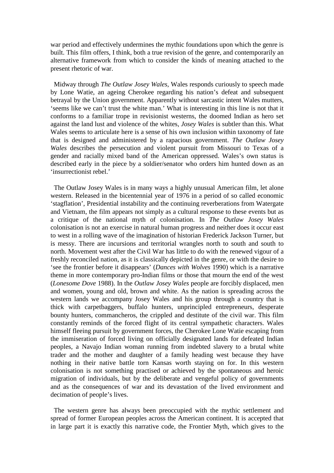war period and effectively undermines the mythic foundations upon which the genre is built. This film offers, I think, both a true revision of the genre, and contemporarily an alternative framework from which to consider the kinds of meaning attached to the present rhetoric of war.

 Midway through *The Outlaw Josey Wales*, Wales responds curiously to speech made by Lone Watie, an ageing Cherokee regarding his nation's defeat and subsequent betrayal by the Union government. Apparently without sarcastic intent Wales mutters, 'seems like we can't trust the white man.' What is interesting in this line is not that it conforms to a familiar trope in revisionist westerns, the doomed Indian as hero set against the land lust and violence of the whites, *Josey Wales* is subtler than this. What Wales seems to articulate here is a sense of his own inclusion within taxonomy of fate that is designed and administered by a rapacious government. *The Outlaw Josey Wales* describes the persecution and violent pursuit from Missouri to Texas of a gender and racially mixed band of the American oppressed. Wales's own status is described early in the piece by a soldier/senator who orders him hunted down as an 'insurrectionist rebel.'

 The Outlaw Josey Wales is in many ways a highly unusual American film, let alone western. Released in the bicentennial year of 1976 in a period of so called economic 'stagflation', Presidential instability and the continuing reverberations from Watergate and Vietnam, the film appears not simply as a cultural response to these events but as a critique of the national myth of colonisation. In *The Outlaw Josey Wales* colonisation is not an exercise in natural human progress and neither does it occur east to west in a rolling wave of the imagination of historian Frederick Jackson Turner, but is messy. There are incursions and territorial wrangles north to south and south to north. Movement west after the Civil War has little to do with the renewed vigour of a freshly reconciled nation, as it is classically depicted in the genre, or with the desire to 'see the frontier before it disappears' (*Dances with Wolves* 1990) which is a narrative theme in more contemporary pro-Indian films or those that mourn the end of the west (*Lonesome Dove* 1988). In the *Outlaw Josey Wales* people are forcibly displaced, men and women, young and old, brown and white. As the nation is spreading across the western lands we accompany Josey Wales and his group through a country that is thick with carpetbaggers, buffalo hunters, unprincipled entrepreneurs, desperate bounty hunters, commancheros, the crippled and destitute of the civil war. This film constantly reminds of the forced flight of its central sympathetic characters. Wales himself fleeing pursuit by government forces, the Cherokee Lone Watie escaping from the immiseration of forced living on officially designated lands for defeated Indian peoples, a Navajo Indian woman running from indebted slavery to a brutal white trader and the mother and daughter of a family heading west because they have nothing in their native battle torn Kansas worth staying on for. In this western colonisation is not something practised or achieved by the spontaneous and heroic migration of individuals, but by the deliberate and vengeful policy of governments and as the consequences of war and its devastation of the lived environment and decimation of people's lives.

 The western genre has always been preoccupied with the mythic settlement and spread of former European peoples across the American continent. It is accepted that in large part it is exactly this narrative code, the Frontier Myth, which gives to the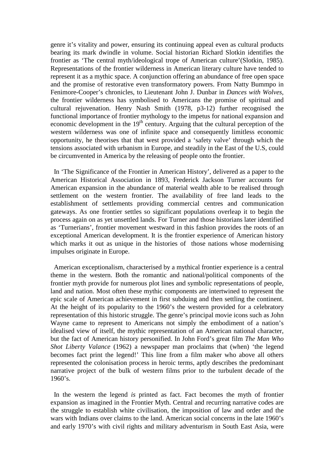genre it's vitality and power, ensuring its continuing appeal even as cultural products bearing its mark dwindle in volume. Social historian Richard Slotkin identifies the frontier as 'The central myth/ideological trope of American culture'(Slotkin, 1985). Representations of the frontier wilderness in American literary culture have tended to represent it as a mythic space. A conjunction offering an abundance of free open space and the promise of restorative even transformatory powers. From Natty Bummpo in Fenimore-Cooper's chronicles, to Lieutenant John J. Dunbar in *Dances with Wolves,* the frontier wilderness has symbolised to Americans the promise of spiritual and cultural rejuvenation. Henry Nash Smith (1978, p3-12) further recognised the functional importance of frontier mythology to the impetus for national expansion and economic development in the  $19<sup>th</sup>$  century. Arguing that the cultural perception of the western wilderness was one of infinite space and consequently limitless economic opportunity, he theorises that that west provided a 'safety valve' through which the tensions associated with urbanism in Europe, and steadily in the East of the U.S, could be circumvented in America by the releasing of people onto the frontier.

 In 'The Significance of the Frontier in American History', delivered as a paper to the American Historical Association in 1893, Frederick Jackson Turner accounts for American expansion in the abundance of material wealth able to be realised through settlement on the western frontier. The availability of free land leads to the establishment of settlements providing commercial centres and communication gateways. As one frontier settles so significant populations overleap it to begin the process again on as yet unsettled lands. For Turner and those historians later identified as 'Turnerians', frontier movement westward in this fashion provides the roots of an exceptional American development. It is the frontier experience of American history which marks it out as unique in the histories of those nations whose modernising impulses originate in Europe.

 American exceptionalism, characterised by a mythical frontier experience is a central theme in the western. Both the romantic and national/political components of the frontier myth provide for numerous plot lines and symbolic representations of people, land and nation. Most often these mythic components are intertwined to represent the epic scale of American achievement in first subduing and then settling the continent. At the height of its popularity to the 1960's the western provided for a celebratory representation of this historic struggle. The genre's principal movie icons such as John Wayne came to represent to Americans not simply the embodiment of a nation's idealised view of itself, the mythic representation of an American national character, but the fact of American history personified. In John Ford's great film *The Man Who Shot Liberty Valance* (1962) a newspaper man proclaims that (when) 'the legend becomes fact print the legend!' This line from a film maker who above all others represented the colonisation process in heroic terms, aptly describes the predominant narrative project of the bulk of western films prior to the turbulent decade of the  $1960's.$ 

 In the western the legend *is* printed as fact. Fact becomes the myth of frontier expansion as imagined in the Frontier Myth. Central and recurring narrative codes are the struggle to establish white civilisation, the imposition of law and order and the wars with Indians over claims to the land. American social concerns in the late 1960's and early 1970's with civil rights and military adventurism in South East Asia, were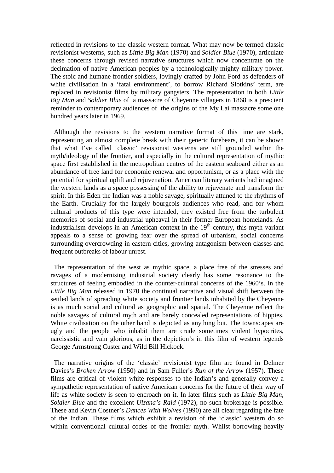reflected in revisions to the classic western format. What may now be termed classic revisionist westerns, such as *Little Big Man* (1970) and *Soldier Blue* (1970), articulate these concerns through revised narrative structures which now concentrate on the decimation of native American peoples by a technologically mighty military power. The stoic and humane frontier soldiers, lovingly crafted by John Ford as defenders of white civilisation in a 'fatal environment', to borrow Richard Slotkins' term, are replaced in revisionist films by military gangsters. The representation in both *Little Big Man* and *Soldier Blue* of a massacre of Cheyenne villagers in 1868 is a prescient reminder to contemporary audiences of the origins of the My Lai massacre some one hundred years later in 1969.

 Although the revisions to the western narrative format of this time are stark, representing an almost complete break with their generic forebears, it can be shown that what I've called 'classic' revisionist westerns are still grounded within the myth/ideology of the frontier, and especially in the cultural representation of mythic space first established in the metropolitan centres of the eastern seaboard either as an abundance of free land for economic renewal and opportunism, or as a place with the potential for spiritual uplift and rejuvenation. American literary variants had imagined the western lands as a space possessing of the ability to rejuvenate and transform the spirit. In this Eden the Indian was a noble savage, spiritually attuned to the rhythms of the Earth. Crucially for the largely bourgeois audiences who read, and for whom cultural products of this type were intended, they existed free from the turbulent memories of social and industrial upheaval in their former European homelands. As industrialism develops in an American context in the  $19<sup>th</sup>$  century, this myth variant appeals to a sense of growing fear over the spread of urbanism, social concerns surrounding overcrowding in eastern cities, growing antagonism between classes and frequent outbreaks of labour unrest.

 The representation of the west as mythic space, a place free of the stresses and ravages of a modernising industrial society clearly has some resonance to the structures of feeling embodied in the counter-cultural concerns of the 1960's. In the *Little Big Man* released in 1970 the continual narrative and visual shift between the settled lands of spreading white society and frontier lands inhabited by the Cheyenne is as much social and cultural as geographic and spatial. The Cheyenne reflect the noble savages of cultural myth and are barely concealed representations of hippies. White civilisation on the other hand is depicted as anything but. The townscapes are ugly and the people who inhabit them are crude sometimes violent hypocrites, narcissistic and vain glorious, as in the depiction's in this film of western legends George Armstrong Custer and Wild Bill Hickock.

 The narrative origins of the 'classic' revisionist type film are found in Delmer Davies's *Broken Arrow* (1950) and in Sam Fuller's *Run of the Arrow* (1957). These films are critical of violent white responses to the Indian's and generally convey a sympathetic representation of native American concerns for the future of their way of life as white society is seen to encroach on it. In later films such as *Little Big Man, Soldier Blue* and the excellent *Ulzana's Raid* (1972), no such brokerage is possible. These and Kevin Costner's *Dances With Wolves* (1990) are all clear regarding the fate of the Indian. These films which exhibit a revision of the 'classic' western do so within conventional cultural codes of the frontier myth. Whilst borrowing heavily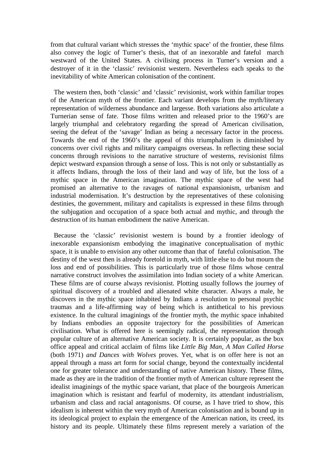from that cultural variant which stresses the 'mythic space' of the frontier, these films also convey the logic of Turner's thesis, that of an inexorable and fateful march westward of the United States. A civilising process in Turner's version and a destroyer of it in the 'classic' revisionist western. Nevertheless each speaks to the inevitability of white American colonisation of the continent.

 The western then, both 'classic' and 'classic' revisionist, work within familiar tropes of the American myth of the frontier. Each variant develops from the myth/literary representation of wilderness abundance and largesse. Both variations also articulate a Turnerian sense of fate. Those films written and released prior to the 1960's are largely triumphal and celebratory regarding the spread of American civilisation, seeing the defeat of the 'savage' Indian as being a necessary factor in the process. Towards the end of the 1960's the appeal of this triumphalism is diminished by concerns over civil rights and military campaigns overseas. In reflecting these social concerns through revisions to the narrative structure of westerns, revisionist films depict westward expansion through a sense of loss. This is not only or substantially as it affects Indians, through the loss of their land and way of life, but the loss of a mythic space in the American imagination. The mythic space of the west had promised an alternative to the ravages of national expansionism, urbanism and industrial modernisation. It's destruction by the representatives of these colonising destinies, the government, military and capitalists is expressed in these films through the subjugation and occupation of a space both actual and mythic, and through the destruction of its human embodiment the native American.

 Because the 'classic' revisionist western is bound by a frontier ideology of inexorable expansionism embodying the imaginative conceptualisation of mythic space, it is unable to envision any other outcome than that of fateful colonisation. The destiny of the west then is already foretold in myth, with little else to do but mourn the loss and end of possibilities. This is particularly true of those films whose central narrative construct involves the assimilation into Indian society of a white American. These films are of course always revisionist. Plotting usually follows the journey of spiritual discovery of a troubled and alienated white character. Always a male, he discovers in the mythic space inhabited by Indians a resolution to personal psychic traumas and a life-affirming way of being which is antithetical to his previous existence. In the cultural imaginings of the frontier myth, the mythic space inhabited by Indians embodies an opposite trajectory for the possibilities of American civilisation. What is offered here is seemingly radical, the representation through popular culture of an alternative American society. It is certainly popular, as the box office appeal and critical acclaim of films like *Little Big Man, A Man Called Horse* (both 1971) *and Dances with Wolves* proves. Yet, what is on offer here is not an appeal through a mass art form for social change, beyond the contextually incidental one for greater tolerance and understanding of native American history. These films, made as they are in the tradition of the frontier myth of American culture represent the idealist imaginings of the mythic space variant, that place of the bourgeois American imagination which is resistant and fearful of modernity, its attendant industrialism, urbanism and class and racial antagonisms. Of course, as I have tried to show, this idealism is inherent within the very myth of American colonisation and is bound up in its ideological project to explain the emergence of the American nation, its creed, its history and its people. Ultimately these films represent merely a variation of the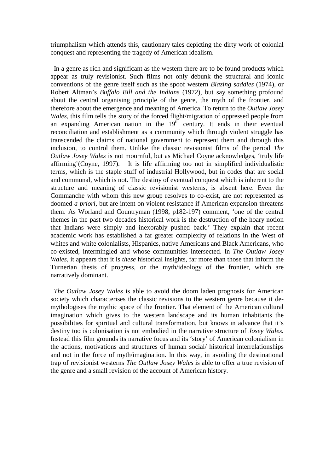triumphalism which attends this, cautionary tales depicting the dirty work of colonial conquest and representing the tragedy of American idealism.

 In a genre as rich and significant as the western there are to be found products which appear as truly revisionist. Such films not only debunk the structural and iconic conventions of the genre itself such as the spoof western *Blazing saddles* (1974), or Robert Altman's *Buffalo Bill and the Indians* (1972), but say something profound about the central organising principle of the genre, the myth of the frontier, and therefore about the emergence and meaning of America. To return to the *Outlaw Josey Wales,* this film tells the story of the forced flight/migration of oppressed people from an expanding American nation in the  $19<sup>th</sup>$  century. It ends in their eventual reconciliation and establishment as a community which through violent struggle has transcended the claims of national government to represent them and through this inclusion, to control them. Unlike the classic revisionist films of the period *The Outlaw Josey Wales* is not mournful, but as Michael Coyne acknowledges, 'truly life affirming'(Coyne, 1997). It is life affirming too not in simplified individualistic terms, which is the staple stuff of industrial Hollywood, but in codes that are social and communal, which is not. The destiny of eventual conquest which is inherent to the structure and meaning of classic revisionist westerns, is absent here. Even the Commanche with whom this new group resolves to co-exist, are not represented as doomed *a priori*, but are intent on violent resistance if American expansion threatens them. As Worland and Countryman (1998, p182-197) comment, 'one of the central themes in the past two decades historical work is the destruction of the hoary notion that Indians were simply and inexorably pushed back.' They explain that recent academic work has established a far greater complexity of relations in the West of whites and white colonialists, Hispanics, native Americans and Black Americans, who co-existed, intermingled and whose communities intersected. In *The Outlaw Josey Wales*, it appears that it is *these* historical insights, far more than those that inform the Turnerian thesis of progress, or the myth/ideology of the frontier, which are narratively dominant.

 *The Outlaw Josey Wales* is able to avoid the doom laden prognosis for American society which characterises the classic revisions to the western genre because it demythologises the mythic space of the frontier. That element of the American cultural imagination which gives to the western landscape and its human inhabitants the possibilities for spiritual and cultural transformation, but knows in advance that it's destiny too is colonisation is not embodied in the narrative structure of *Josey Wales.* Instead this film grounds its narrative focus and its 'story' of American colonialism in the actions, motivations and structures of human social/ historical interrelationships and not in the force of myth/imagination. In this way, in avoiding the destinational trap of revisionist westerns *The Outlaw Josey Wales* is able to offer a true revision of the genre and a small revision of the account of American history.